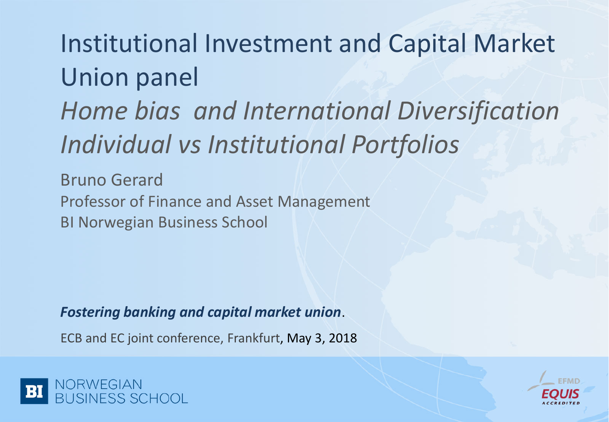# Institutional Investment and Capital Market Union panel *Home bias and International Diversification Individual vs Institutional Portfolios*

Bruno Gerard Professor of Finance and Asset Management BI Norwegian Business School

*Fostering banking and capital market union*.

ECB and EC joint conference, Frankfurt, May 3, 2018



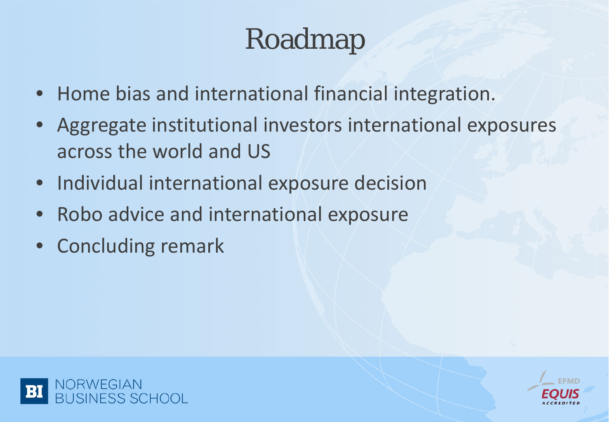# Roadmap

- Home bias and international financial integration.
- Aggregate institutional investors international exposures across the world and US
- Individual international exposure decision
- Robo advice and international exposure
- Concluding remark



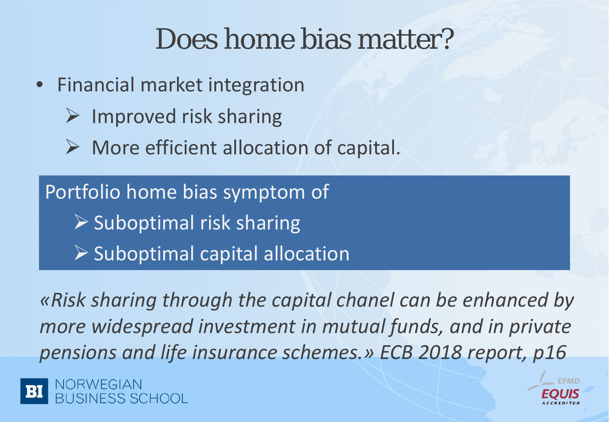### Does home bias matter?

- Financial market integration
	- Improved risk sharing
	- $\triangleright$  More efficient allocation of capital.

Portfolio home bias symptom of  $\triangleright$  Suboptimal risk sharing  $\triangleright$  Suboptimal capital allocation

*«Risk sharing through the capital chanel can be enhanced by more widespread investment in mutual funds, and in private pensions and life insurance schemes.» ECB 2018 report, p16*

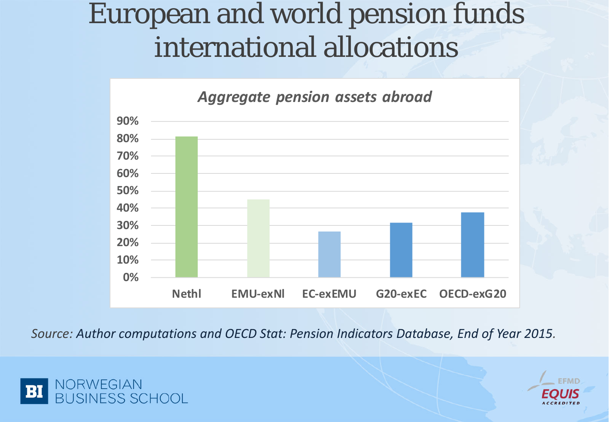#### European and world pension funds international allocations



*Source: Author computations and OECD Stat: Pension Indicators Database, End of Year 2015.* 



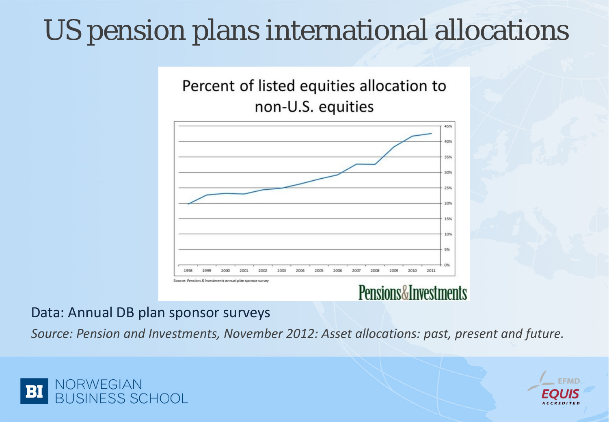## US pension plans international allocations

#### Percent of listed equities allocation to non-U.S. equities



#### Pensions&Investments

#### Data: Annual DB plan sponsor surveys

*Source: Pension and Investments, November 2012: Asset allocations: past, present and future.* 



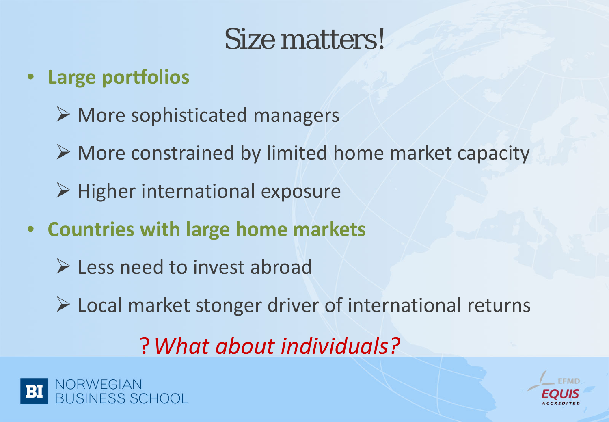#### Size matters!

#### • **Large portfolios**

- $\triangleright$  More sophisticated managers
- $\triangleright$  More constrained by limited home market capacity
- $\triangleright$  Higher international exposure
- **Countries with large home markets**
	- **Less need to invest abroad**
	- Local market stonger driver of international returns

?*What about individuals?*



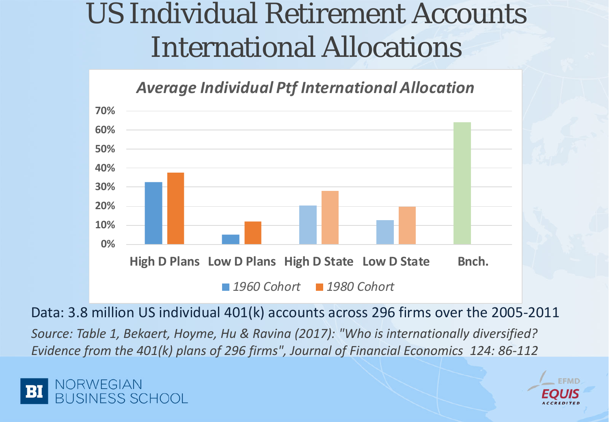#### US Individual Retirement Accounts International Allocations



Data: 3.8 million US individual 401(k) accounts across 296 firms over the 2005-2011

*Source: Table 1, Bekaert, Hoyme, Hu & Ravina (2017): "Who is internationally diversified? Evidence from the 401(k) plans of 296 firms", Journal of Financial Economics 124: 86-112*



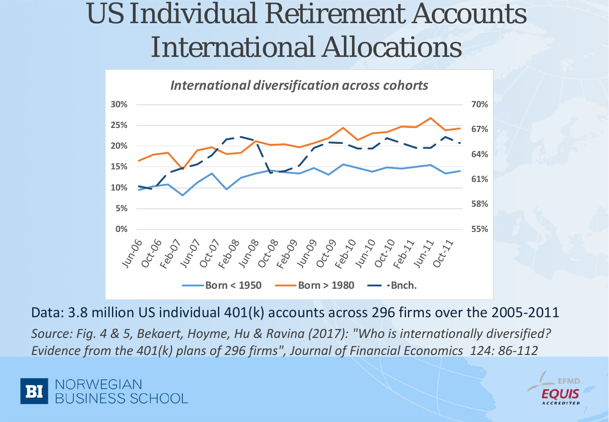#### US Individual Retirement Accounts International Allocations



Data: 3.8 million US individual 401(k) accounts across 296 firms over the 2005-2011

*Source: Fig. 4 & 5, Bekaert, Hoyme, Hu & Ravina (2017): "Who is internationally diversified? Evidence from the 401(k) plans of 296 firms", Journal of Financial Economics 124: 86-112*



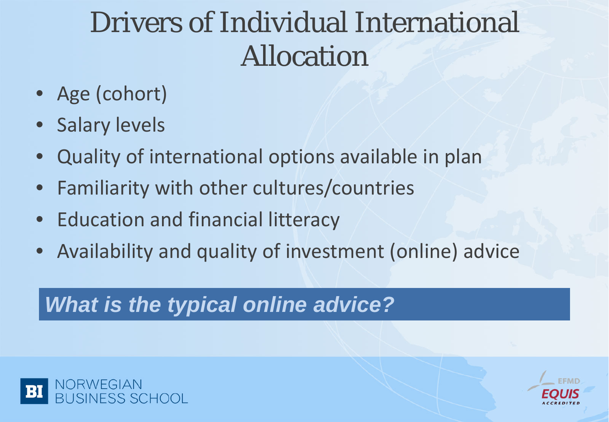## Drivers of Individual International Allocation

- Age (cohort)
- Salary levels
- Quality of international options available in plan
- Familiarity with other cultures/countries
- Education and financial litteracy
- Availability and quality of investment (online) advice

#### *What is the typical online advice?*



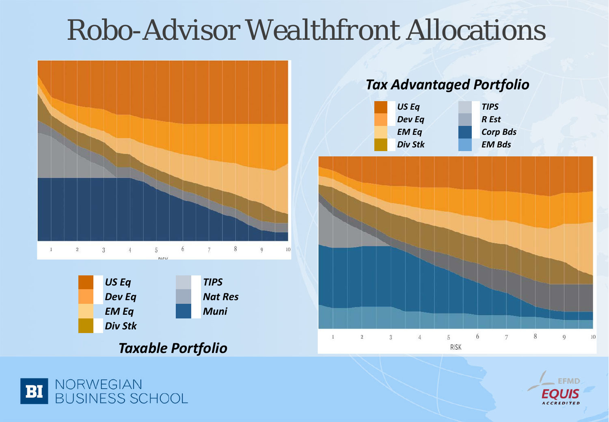#### Robo-Advisor *Wealthfront* Allocations



#### *Taxable Portfolio*



#### *Tax Advantaged Portfolio*





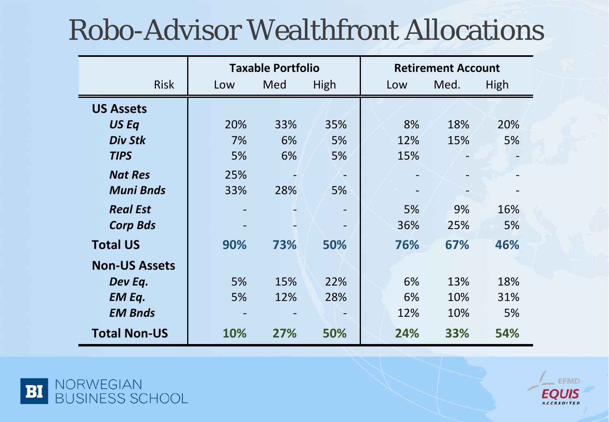## Robo-Advisor Wealthfront Allocations

|                      | <b>Taxable Portfolio</b> |     |      | <b>Retirement Account</b> |      |      |
|----------------------|--------------------------|-----|------|---------------------------|------|------|
| <b>Risk</b>          | Low                      | Med | High | Low                       | Med. | High |
| <b>US Assets</b>     |                          |     |      |                           |      |      |
| US Eq                | 20%                      | 33% | 35%  | 8%                        | 18%  | 20%  |
| <b>Div Stk</b>       | 7%                       | 6%  | 5%   | 12%                       | 15%  | 5%   |
| <b>TIPS</b>          | 5%                       | 6%  | 5%   | 15%                       |      |      |
| <b>Nat Res</b>       | 25%                      |     |      |                           |      |      |
| <b>Muni Bnds</b>     | 33%                      | 28% | 5%   |                           |      |      |
| <b>Real Est</b>      |                          |     |      | 5%                        | 9%   | 16%  |
| <b>Corp Bds</b>      |                          |     |      | 36%                       | 25%  | 5%   |
| <b>Total US</b>      | 90%                      | 73% | 50%  | 76%                       | 67%  | 46%  |
| <b>Non-US Assets</b> |                          |     |      |                           |      |      |
| Dev Eq.              | 5%                       | 15% | 22%  | 6%                        | 13%  | 18%  |
| <b>EM Eq.</b>        | 5%                       | 12% | 28%  | 6%                        | 10%  | 31%  |
| <b>EM Bnds</b>       |                          |     |      | 12%                       | 10%  | 5%   |
| <b>Total Non-US</b>  | 10%                      | 27% | 50%  | 24%                       | 33%  | 54%  |



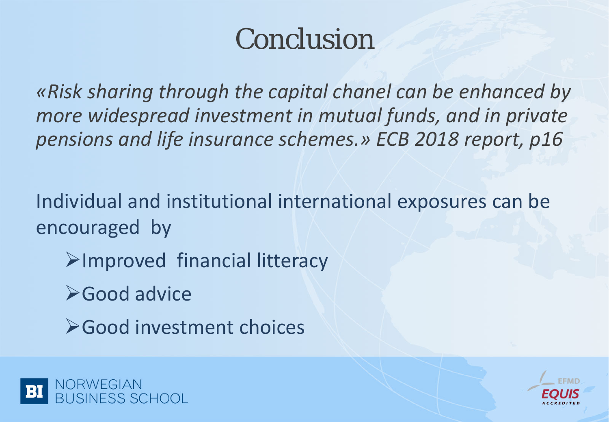## Conclusion

*«Risk sharing through the capital chanel can be enhanced by more widespread investment in mutual funds, and in private pensions and life insurance schemes.» ECB 2018 report, p16*

Individual and institutional international exposures can be encouraged by

- Improved financial litteracy
- **≻Good advice**
- Good investment choices